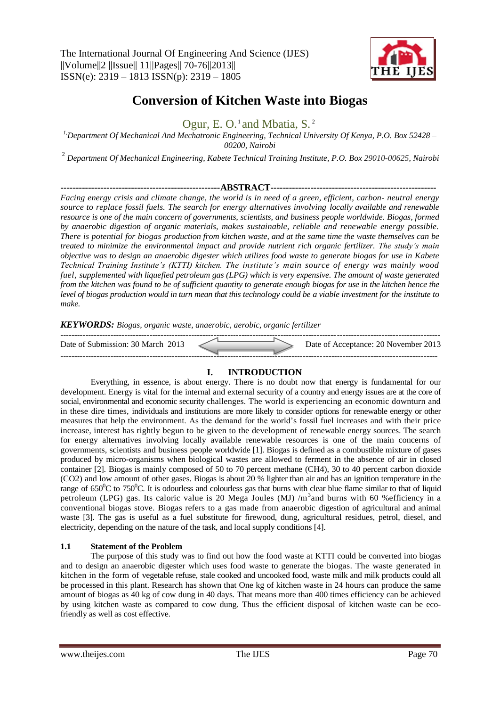

# **Conversion of Kitchen Waste into Biogas**

Ogur, E. O.<sup>1</sup> and Mbatia, S.<sup>2</sup>

*1,Department Of Mechanical And Mechatronic Engineering, Technical University Of Kenya, P.O. Box 52428 – 00200, Nairobi*

2 *Department Of Mechanical Engineering, Kabete Technical Training Institute, P.O. Box 29010-00625, Nairobi*

# **----------------------------------------------------ABSTRACT------------------------------------------------------**

*Facing energy crisis and climate change, the world is in need of a green, efficient, carbon- neutral energy source to replace fossil fuels. The search for energy alternatives involving locally available and renewable resource is one of the main concern of governments, scientists, and business people worldwide. Biogas, formed by anaerobic digestion of organic materials, makes sustainable, reliable and renewable energy possible. There is potential for biogas production from kitchen waste, and at the same time the waste themselves can be treated to minimize the environmental impact and provide nutrient rich organic fertilizer. The study's main objective was to design an anaerobic digester which utilizes food waste to generate biogas for use in Kabete Technical Training Institute's (KTTI) kitchen. The institute's main source of energy was mainly wood fuel, supplemented with liquefied petroleum gas (LPG) which is very expensive. The amount of waste generated from the kitchen was found to be of sufficient quantity to generate enough biogas for use in the kitchen hence the level of biogas production would in turn mean that this technology could be a viable investment for the institute to make.*

*KEYWORDS: Biogas, organic waste, anaerobic, aerobic, organic fertilizer*

| Date of Submission: 30 March 2013 |  | Date of Acceptance: 20 November 2013 |
|-----------------------------------|--|--------------------------------------|
|                                   |  |                                      |

# **I. INTRODUCTION**

Everything, in essence, is about energy. There is no doubt now that energy is fundamental for our development. Energy is vital for the internal and external security of a country and energy issues are at the core of social, environmental and economic security challenges. The world is experiencing an economic downturn and in these dire times, individuals and institutions are more likely to consider options for renewable energy or other measures that help the environment. As the demand for the world's fossil fuel increases and with their price increase, interest has rightly begun to be given to the development of renewable energy sources. The search for energy alternatives involving locally available renewable resources is one of the main concerns of governments, scientists and business people worldwide [1]. Biogas is defined as a combustible mixture of gases produced by micro-organisms when biological wastes are allowed to ferment in the absence of air in closed container [2]. Biogas is mainly composed of 50 to 70 percent methane (CH4), 30 to 40 percent carbon dioxide (CO2) and low amount of other gases. Biogas is about 20 % lighter than air and has an ignition temperature in the range of  $650^{\circ}$ C to  $750^{\circ}$ C. It is odourless and colourless gas that burns with clear blue flame similar to that of liquid petroleum (LPG) gas. Its caloric value is 20 Mega Joules (MJ) /m<sup>3</sup> and burns with 60 % efficiency in a conventional biogas stove. Biogas refers to a gas made from anaerobic digestion of agricultural and animal waste [3]. The gas is useful as a fuel substitute for firewood, dung, agricultural residues, petrol, diesel, and electricity, depending on the nature of the task, and local supply conditions [4].

# **1.1 Statement of the Problem**

The purpose of this study was to find out how the food waste at KTTI could be converted into biogas and to design an anaerobic digester which uses food waste to generate the biogas. The waste generated in kitchen in the form of vegetable refuse, stale cooked and uncooked food, waste milk and milk products could all be processed in this plant. Research has shown that One kg of kitchen waste in 24 hours can produce the same amount of biogas as 40 kg of cow dung in 40 days. That means more than 400 times efficiency can be achieved by using kitchen waste as compared to cow dung. Thus the efficient disposal of kitchen waste can be ecofriendly as well as cost effective.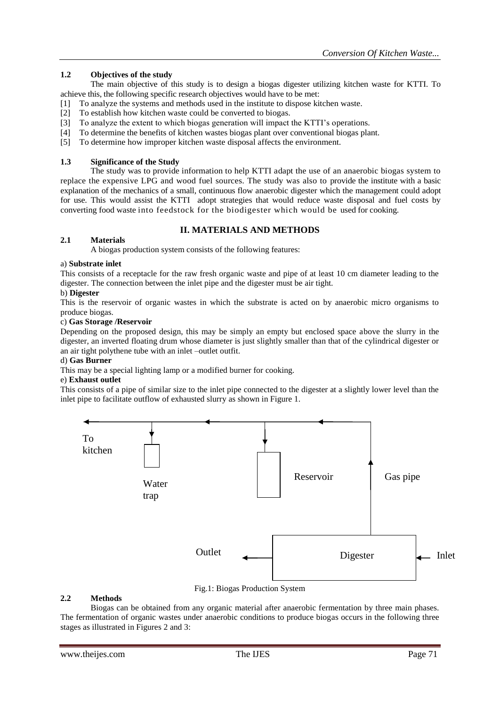# **1.2 Objectives of the study**

The main objective of this study is to design a biogas digester utilizing kitchen waste for KTTI. To achieve this, the following specific research objectives would have to be met:

- [1] To analyze the systems and methods used in the institute to dispose kitchen waste.
- [2] To establish how kitchen waste could be converted to biogas.
- [3] To analyze the extent to which biogas generation will impact the KTTI's operations.
- [4] To determine the benefits of kitchen wastes biogas plant over conventional biogas plant.
- [5] To determine how improper kitchen waste disposal affects the environment.

# **1.3 Significance of the Study**

The study was to provide information to help KTTI adapt the use of an anaerobic biogas system to replace the expensive LPG and wood fuel sources. The study was also to provide the institute with a basic explanation of the mechanics of a small, continuous flow anaerobic digester which the management could adopt for use. This would assist the KTTI adopt strategies that would reduce waste disposal and fuel costs by converting food waste into feedstock for the biodigester which would be used for cooking.

# **II. MATERIALS AND METHODS**

# **2.1 Materials**

A biogas production system consists of the following features:

# a) **Substrate inlet**

This consists of a receptacle for the raw fresh organic waste and pipe of at least 10 cm diameter leading to the digester. The connection between the inlet pipe and the digester must be air tight.

# b) **Digester**

This is the reservoir of organic wastes in which the substrate is acted on by anaerobic micro organisms to produce biogas.

#### c) **Gas Storage /Reservoir**

Depending on the proposed design, this may be simply an empty but enclosed space above the slurry in the digester, an inverted floating drum whose diameter is just slightly smaller than that of the cylindrical digester or an air tight polythene tube with an inlet –outlet outfit.

# d) **Gas Burner**

This may be a special lighting lamp or a modified burner for cooking.

# e) **Exhaust outlet**

This consists of a pipe of similar size to the inlet pipe connected to the digester at a slightly lower level than the inlet pipe to facilitate outflow of exhausted slurry as shown in Figure 1.



# Fig.1: Biogas Production System

# **2.2 Methods**

Biogas can be obtained from any organic material after anaerobic fermentation by three main phases. The fermentation of organic wastes under anaerobic conditions to produce biogas occurs in the following three stages as illustrated in Figures 2 and 3: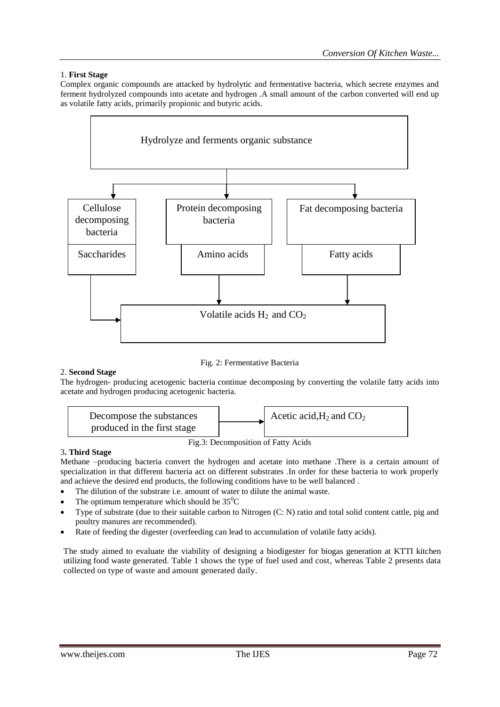# 1. **First Stage**

Complex organic compounds are attacked by hydrolytic and fermentative bacteria, which secrete enzymes and ferment hydrolyzed compounds into acetate and hydrogen .A small amount of the carbon converted will end up as volatile fatty acids, primarily propionic and butyric acids.



# Fig. 2: Fermentative Bacteria

# 2. **Second Stage**

The hydrogen- producing acetogenic bacteria continue decomposing by converting the volatile fatty acids into acetate and hydrogen producing acetogenic bacteria.



# 3**. Third Stage**

Methane –producing bacteria convert the hydrogen and acetate into methane .There is a certain amount of specialization in that different bacteria act on different substrates .In order for these bacteria to work properly and achieve the desired end products, the following conditions have to be well balanced .

- The dilution of the substrate i.e. amount of water to dilute the animal waste.
- The optimum temperature which should be  $35^{\circ}$ C
- Type of substrate (due to their suitable carbon to Nitrogen (C: N) ratio and total solid content cattle, pig and poultry manures are recommended).
- Rate of feeding the digester (overfeeding can lead to accumulation of volatile fatty acids).

The study aimed to evaluate the viability of designing a biodigester for biogas generation at KTTI kitchen utilizing food waste generated. Table 1 shows the type of fuel used and cost, whereas Table 2 presents data collected on type of waste and amount generated daily.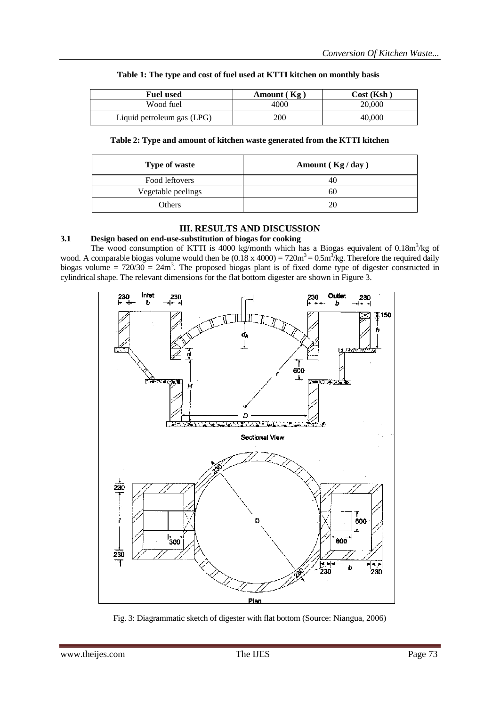| <b>Fuel used</b>           | Amount $(Kg)$ | Cost (Ksh ) |
|----------------------------|---------------|-------------|
| Wood fuel                  | 4000          | 20,000      |
| Liquid petroleum gas (LPG) | 200           | 40.000      |

# **Table 1: The type and cost of fuel used at KTTI kitchen on monthly basis**

**Table 2: Type and amount of kitchen waste generated from the KTTI kitchen**

| <b>Type of waste</b> | Amount $(Kg / day)$ |
|----------------------|---------------------|
| Food leftovers       |                     |
| Vegetable peelings   | 60                  |
| Others               | 20                  |

# **III. RESULTS AND DISCUSSION**

# **3.1 Design based on end-use-substitution of biogas for cooking**

The wood consumption of KTTI is 4000 kg/month which has a Biogas equivalent of 0.18m<sup>3</sup>/kg of wood. A comparable biogas volume would then be  $(0.18 \times 4000) = 720 \text{m}^3 = 0.5 \text{m}^3/\text{kg}$ . Therefore the required daily biogas volume =  $720/30 = 24m<sup>3</sup>$ . The proposed biogas plant is of fixed dome type of digester constructed in cylindrical shape. The relevant dimensions for the flat bottom digester are shown in Figure 3.



Fig. 3: Diagrammatic sketch of digester with flat bottom (Source: Niangua, 2006)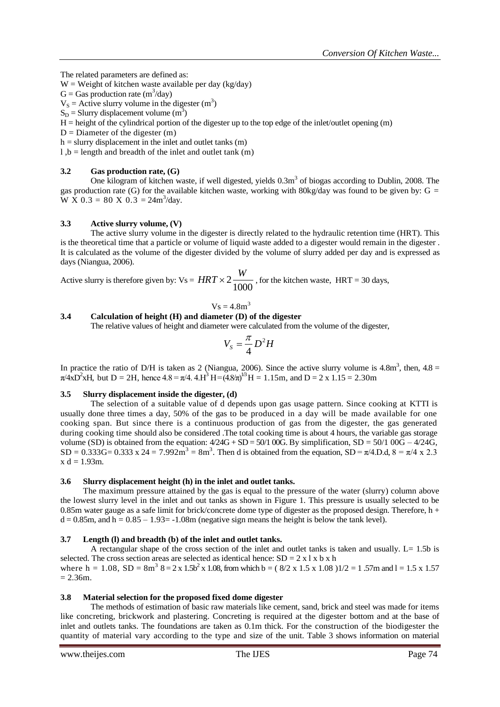The related parameters are defined as:

 $W = Weight$  of kitchen waste available per day (kg/day)

 $G =$  Gas production rate  $(m^3/day)$ 

 $V_s$  = Active slurry volume in the digester (m<sup>3</sup>)

 $S_D$  = Slurry displacement volume (m<sup>3</sup>)

H = height of the cylindrical portion of the digester up to the top edge of the inlet/outlet opening (m)

 $D =$  Diameter of the digester  $(m)$ 

 $h =$  slurry displacement in the inlet and outlet tanks  $(m)$ 

 $l, b =$  length and breadth of the inlet and outlet tank (m)

# **3.2 Gas production rate, (G)**

One kilogram of kitchen waste, if well digested, yields  $0.3\text{m}^3$  of biogas according to Dublin, 2008. The gas production rate (G) for the available kitchen waste, working with  $80 \text{kg/day}$  was found to be given by: G =  $\overline{W} \times 0.3 = 80 \times 0.3 = 24 \text{m}^3/\text{day}.$ 

# **3.3 Active slurry volume, (V)**

The active slurry volume in the digester is directly related to the hydraulic retention time (HRT). This is the theoretical time that a particle or volume of liquid waste added to a digester would remain in the digester . It is calculated as the volume of the digester divided by the volume of slurry added per day and is expressed as days (Niangua, 2006).

Active slurry is therefore given by:  $Vs = HRT \times 2 \frac{N}{1000}$  $HRT \times 2 \frac{W}{1000}$ , for the kitchen waste, HRT = 30 days,

$$
Vs = 4.8 m^3
$$

# **3.4 Calculation of height (H) and diameter (D) of the digester**

The relative values of height and diameter were calculated from the volume of the digester,

$$
V_s = \frac{\pi}{4} D^2 H
$$

In practice the ratio of D/H is taken as 2 (Niangua, 2006). Since the active slurry volume is  $4.8\text{m}^3$ , then,  $4.8 =$  $\pi$ /4xD<sup>2</sup>xH, but D = 2H, hence 4.8 =  $\pi$ /4. 4.H<sup>3</sup> H = (4.8 $\pi$ )<sup>13</sup>H = 1.15m, and D = 2 x 1.15 = 2.30m

# **3.5 Slurry displacement inside the digester, (d)**

The selection of a suitable value of d depends upon gas usage pattern. Since cooking at KTTI is usually done three times a day, 50% of the gas to be produced in a day will be made available for one cooking span. But since there is a continuous production of gas from the digester, the gas generated during cooking time should also be considered .The total cooking time is about 4 hours, the variable gas storage volume (SD) is obtained from the equation:  $4/24G + SD = 50/100G$ . By simplification,  $SD = 50/100G - 4/24G$ ,  $SD = 0.333G = 0.333 \times 24 = 7.992 \text{m}^3 = 8 \text{m}^3$ . Then d is obtained from the equation,  $SD = \pi/4$ . D.d,  $8 = \pi/4 \times 2.3$  $x d = 1.93m$ .

# **3.6 Slurry displacement height (h) in the inlet and outlet tanks.**

The maximum pressure attained by the gas is equal to the pressure of the water (slurry) column above the lowest slurry level in the inlet and out tanks as shown in Figure 1. This pressure is usually selected to be 0.85m water gauge as a safe limit for brick/concrete dome type of digester as the proposed design. Therefore,  $h +$  $d = 0.85$ m, and  $h = 0.85 - 1.93 = -1.08$ m (negative sign means the height is below the tank level).

# **3.7 Length (l) and breadth (b) of the inlet and outlet tanks.**

A rectangular shape of the cross section of the inlet and outlet tanks is taken and usually.  $L = 1.5b$  is selected. The cross section areas are selected as identical hence:  $SD = 2x \ln x$  b x h where  $h = 1.08$ ,  $SD = 8m^3$   $8 = 2 \times 1.5b^2 \times 1.08$ , from which  $b = (8/2 \times 1.5 \times 1.08)1/2 = 1.57m$  and  $l = 1.5 \times 1.57m$  $= 2.36m.$ 

# **3.8 Material selection for the proposed fixed dome digester**

The methods of estimation of basic raw materials like cement, sand, brick and steel was made for items like concreting, brickwork and plastering. Concreting is required at the digester bottom and at the base of inlet and outlets tanks. The foundations are taken as 0.1m thick. For the construction of the biodigester the quantity of material vary according to the type and size of the unit. Table 3 shows information on material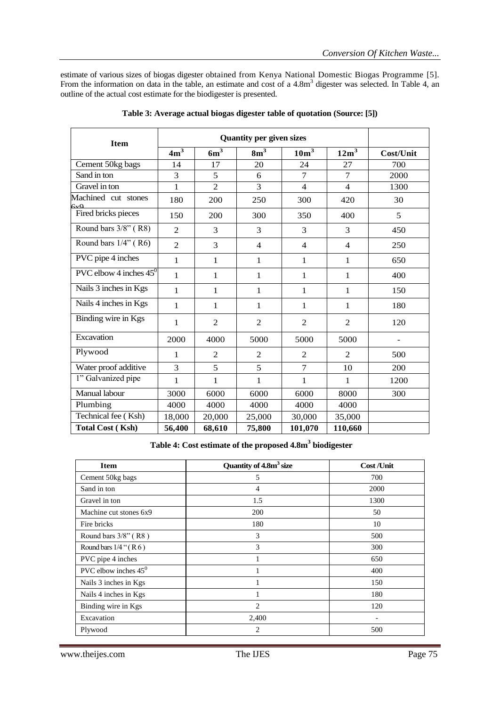estimate of various sizes of biogas digester obtained from Kenya National Domestic Biogas Programme [5]. From the information on data in the table, an estimate and cost of a 4.8m<sup>3</sup> digester was selected. In Table 4, an outline of the actual cost estimate for the biodigester is presented.

| <b>Item</b>                     | <b>Quantity per given sizes</b> |                |                          |                  |                  |           |
|---------------------------------|---------------------------------|----------------|--------------------------|------------------|------------------|-----------|
|                                 | $4m^3$                          | $6m^3$         | 8m <sup>3</sup>          | 10m <sup>3</sup> | 12m <sup>3</sup> | Cost/Unit |
| Cement 50kg bags                | 14                              | 17             | 20                       | 24               | 27               | 700       |
| Sand in ton                     | 3                               | 5              | 6                        | $\overline{7}$   | $\overline{7}$   | 2000      |
| Gravel in ton                   | $\mathbf{1}$                    | $\overline{2}$ | 3                        | $\overline{4}$   | $\overline{4}$   | 1300      |
| Machined cut stones<br>6vQ      | 180                             | 200            | 250                      | 300              | 420              | 30        |
| Fired bricks pieces             | 150                             | 200            | 300                      | 350              | 400              | 5         |
| Round bars 3/8" (R8)            | $\overline{2}$                  | 3              | 3                        | 3                | 3                | 450       |
| Round bars 1/4" (R6)            | $\overline{2}$                  | 3              | $\overline{\mathcal{L}}$ | $\overline{4}$   | $\overline{4}$   | 250       |
| PVC pipe 4 inches               | 1                               | 1              | 1                        | $\mathbf{1}$     | $\mathbf{1}$     | 650       |
| PVC elbow 4 inches $45^{\circ}$ | $\mathbf{1}$                    | $\mathbf{1}$   | $\mathbf{1}$             | 1                | $\mathbf{1}$     | 400       |
| Nails 3 inches in Kgs           | 1                               | 1              | 1                        | 1                | $\mathbf{1}$     | 150       |
| Nails 4 inches in Kgs           | 1                               | 1              | 1                        | 1                | $\mathbf{1}$     | 180       |
| Binding wire in Kgs             | 1                               | $\overline{2}$ | $\overline{2}$           | $\overline{2}$   | $\overline{2}$   | 120       |
| Excavation                      | 2000                            | 4000           | 5000                     | 5000             | 5000             |           |
| Plywood                         | 1                               | $\overline{2}$ | $\overline{2}$           | $\overline{2}$   | 2                | 500       |
| Water proof additive            | 3                               | 5              | 5                        | $\overline{7}$   | 10               | 200       |
| 1" Galvanized pipe              | 1                               | 1              | $\mathbf{1}$             | 1                | 1                | 1200      |
| Manual labour                   | 3000                            | 6000           | 6000                     | 6000             | 8000             | 300       |
| Plumbing                        | 4000                            | 4000           | 4000                     | 4000             | 4000             |           |
| Technical fee (Ksh)             | 18,000                          | 20,000         | 25,000                   | 30,000           | 35,000           |           |
| <b>Total Cost (Ksh)</b>         | 56,400                          | 68,610         | 75,800                   | 101,070          | 110,660          |           |

| Table 3: Average actual biogas digester table of quotation (Source: [5]) |  |  |  |
|--------------------------------------------------------------------------|--|--|--|
|                                                                          |  |  |  |
|                                                                          |  |  |  |

**Table 4: Cost estimate of the proposed 4.8m<sup>3</sup> biodigester**

| <b>Item</b>               | Quantity of 4.8m <sup>3</sup> size | <b>Cost /Unit</b> |
|---------------------------|------------------------------------|-------------------|
| Cement 50kg bags          | 5                                  | 700               |
| Sand in ton               | $\overline{4}$                     | 2000              |
| Gravel in ton             | 1.5                                | 1300              |
| Machine cut stones 6x9    | 200                                | 50                |
| Fire bricks               | 180                                | 10                |
| Round bars 3/8" (R8)      | 3                                  | 500               |
| Round bars $1/4$ " $(R6)$ | 3                                  | 300               |
| PVC pipe 4 inches         | 1                                  | 650               |
| PVC elbow inches $45^0$   |                                    | 400               |
| Nails 3 inches in Kgs     |                                    | 150               |
| Nails 4 inches in Kgs     |                                    | 180               |
| Binding wire in Kgs       | $\overline{c}$                     | 120               |
| Excavation                | 2,400                              |                   |
| Plywood                   | 2                                  | 500               |